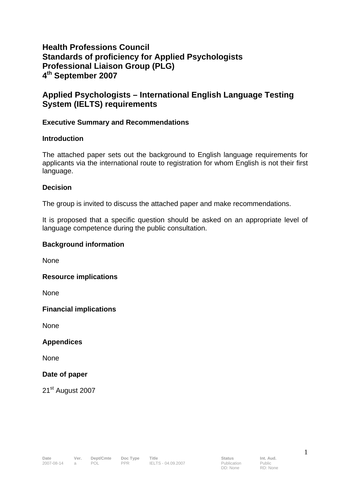# **Health Professions Council Standards of proficiency for Applied Psychologists Professional Liaison Group (PLG) 4th September 2007**

# **Applied Psychologists – International English Language Testing System (IELTS) requirements**

## **Executive Summary and Recommendations**

## **Introduction**

The attached paper sets out the background to English language requirements for applicants via the international route to registration for whom English is not their first language.

#### **Decision**

The group is invited to discuss the attached paper and make recommendations.

It is proposed that a specific question should be asked on an appropriate level of language competence during the public consultation.

### **Background information**

None

**Resource implications** 

None

**Financial implications** 

None

**Appendices** 

None

## **Date of paper**

21<sup>st</sup> August 2007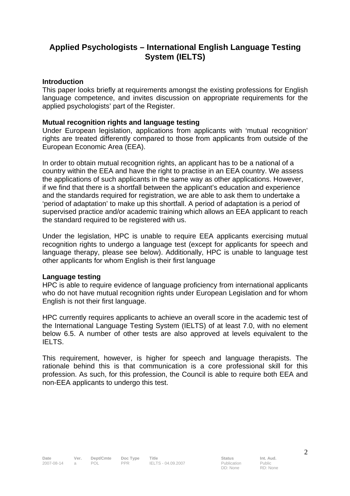# **Applied Psychologists – International English Language Testing System (IELTS)**

### **Introduction**

This paper looks briefly at requirements amongst the existing professions for English language competence, and invites discussion on appropriate requirements for the applied psychologists' part of the Register.

#### **Mutual recognition rights and language testing**

Under European legislation, applications from applicants with 'mutual recognition' rights are treated differently compared to those from applicants from outside of the European Economic Area (EEA).

In order to obtain mutual recognition rights, an applicant has to be a national of a country within the EEA and have the right to practise in an EEA country. We assess the applications of such applicants in the same way as other applications. However, if we find that there is a shortfall between the applicant's education and experience and the standards required for registration, we are able to ask them to undertake a 'period of adaptation' to make up this shortfall. A period of adaptation is a period of supervised practice and/or academic training which allows an EEA applicant to reach the standard required to be registered with us.

Under the legislation, HPC is unable to require EEA applicants exercising mutual recognition rights to undergo a language test (except for applicants for speech and language therapy, please see below). Additionally, HPC is unable to language test other applicants for whom English is their first language

#### **Language testing**

HPC is able to require evidence of language proficiency from international applicants who do not have mutual recognition rights under European Legislation and for whom English is not their first language.

HPC currently requires applicants to achieve an overall score in the academic test of the International Language Testing System (IELTS) of at least 7.0, with no element below 6.5. A number of other tests are also approved at levels equivalent to the IELTS.

This requirement, however, is higher for speech and language therapists. The rationale behind this is that communication is a core professional skill for this profession. As such, for this profession, the Council is able to require both EEA and non-EEA applicants to undergo this test.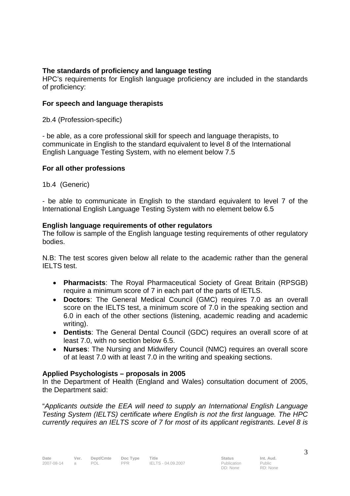# **The standards of proficiency and language testing**

HPC's requirements for English language proficiency are included in the standards of proficiency:

## **For speech and language therapists**

2b.4 (Profession-specific)

- be able, as a core professional skill for speech and language therapists, to communicate in English to the standard equivalent to level 8 of the International English Language Testing System, with no element below 7.5

## **For all other professions**

1b.4 (Generic)

- be able to communicate in English to the standard equivalent to level 7 of the International English Language Testing System with no element below 6.5

## **English language requirements of other regulators**

The follow is sample of the English language testing requirements of other regulatory bodies.

N.B: The test scores given below all relate to the academic rather than the general IELTS test.

- **Pharmacists**: The Royal Pharmaceutical Society of Great Britain (RPSGB) require a minimum score of 7 in each part of the parts of IETLS.
- **Doctors**: The General Medical Council (GMC) requires 7.0 as an overall score on the IELTS test, a minimum score of 7.0 in the speaking section and 6.0 in each of the other sections (listening, academic reading and academic writing).
- **Dentists**: The General Dental Council (GDC) requires an overall score of at least 7.0, with no section below 6.5.
- **Nurses**: The Nursing and Midwifery Council (NMC) requires an overall score of at least 7.0 with at least 7.0 in the writing and speaking sections.

# **Applied Psychologists – proposals in 2005**

In the Department of Health (England and Wales) consultation document of 2005, the Department said:

"*Applicants outside the EEA will need to supply an International English Language Testing System (IELTS) certificate where English is not the first language. The HPC currently requires an IELTS score of 7 for most of its applicant registrants. Level 8 is*